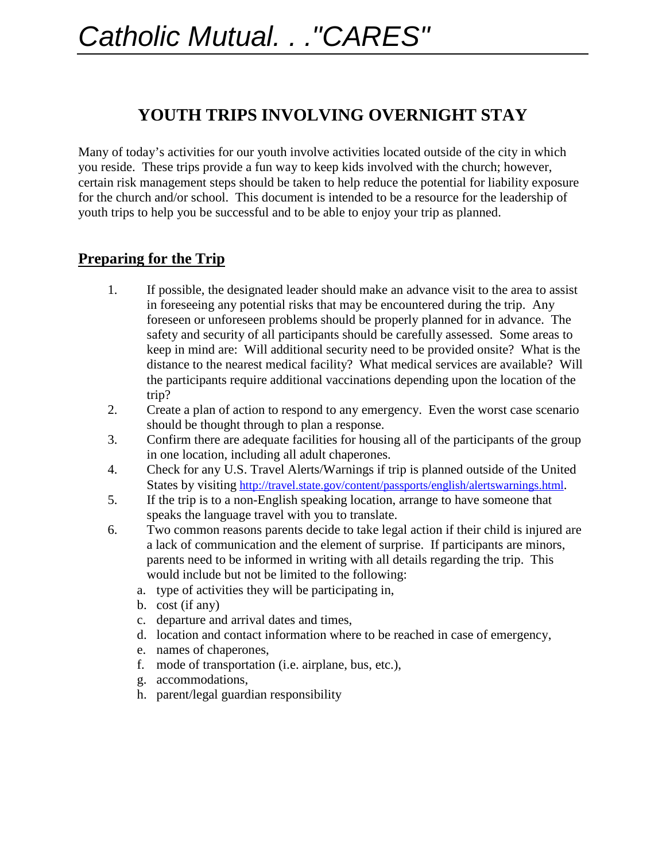## **YOUTH TRIPS INVOLVING OVERNIGHT STAY**

Many of today's activities for our youth involve activities located outside of the city in which you reside. These trips provide a fun way to keep kids involved with the church; however, certain risk management steps should be taken to help reduce the potential for liability exposure for the church and/or school. This document is intended to be a resource for the leadership of youth trips to help you be successful and to be able to enjoy your trip as planned.

## **Preparing for the Trip**

- 1. If possible, the designated leader should make an advance visit to the area to assist in foreseeing any potential risks that may be encountered during the trip. Any foreseen or unforeseen problems should be properly planned for in advance. The safety and security of all participants should be carefully assessed. Some areas to keep in mind are: Will additional security need to be provided onsite? What is the distance to the nearest medical facility? What medical services are available? Will the participants require additional vaccinations depending upon the location of the trip?
- 2. Create a plan of action to respond to any emergency. Even the worst case scenario should be thought through to plan a response.
- 3. Confirm there are adequate facilities for housing all of the participants of the group in one location, including all adult chaperones.
- 4. Check for any U.S. Travel Alerts/Warnings if trip is planned outside of the United States by visiting [http://travel.state.gov/content/passports/english/alertswarnings.html.](http://travel.state.gov/content/passports/english/alertswarnings.html)
- 5. If the trip is to a non-English speaking location, arrange to have someone that speaks the language travel with you to translate.
- 6. Two common reasons parents decide to take legal action if their child is injured are a lack of communication and the element of surprise. If participants are minors, parents need to be informed in writing with all details regarding the trip. This would include but not be limited to the following:
	- a. type of activities they will be participating in,
	- b. cost (if any)
	- c. departure and arrival dates and times,
	- d. location and contact information where to be reached in case of emergency,
	- e. names of chaperones,
	- f. mode of transportation (i.e. airplane, bus, etc.),
	- g. accommodations,
	- h. parent/legal guardian responsibility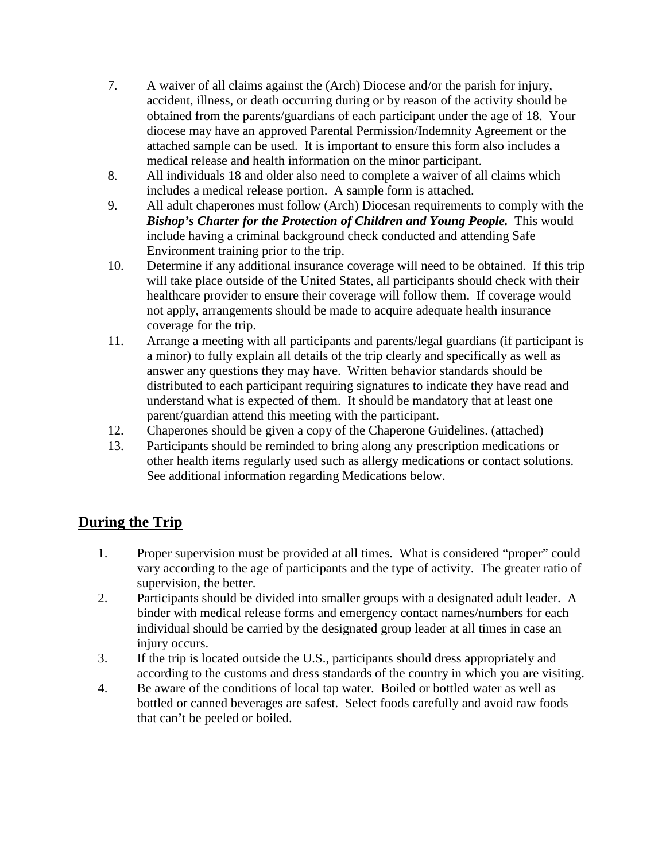- 7. A waiver of all claims against the (Arch) Diocese and/or the parish for injury, accident, illness, or death occurring during or by reason of the activity should be obtained from the parents/guardians of each participant under the age of 18. Your diocese may have an approved Parental Permission/Indemnity Agreement or the attached sample can be used. It is important to ensure this form also includes a medical release and health information on the minor participant.
- 8. All individuals 18 and older also need to complete a waiver of all claims which includes a medical release portion. A sample form is attached.
- 9. All adult chaperones must follow (Arch) Diocesan requirements to comply with the *Bishop's Charter for the Protection of Children and Young People.* This would include having a criminal background check conducted and attending Safe Environment training prior to the trip.
- 10. Determine if any additional insurance coverage will need to be obtained. If this trip will take place outside of the United States, all participants should check with their healthcare provider to ensure their coverage will follow them. If coverage would not apply, arrangements should be made to acquire adequate health insurance coverage for the trip.
- 11. Arrange a meeting with all participants and parents/legal guardians (if participant is a minor) to fully explain all details of the trip clearly and specifically as well as answer any questions they may have. Written behavior standards should be distributed to each participant requiring signatures to indicate they have read and understand what is expected of them. It should be mandatory that at least one parent/guardian attend this meeting with the participant.
- 12. Chaperones should be given a copy of the Chaperone Guidelines. (attached)
- 13. Participants should be reminded to bring along any prescription medications or other health items regularly used such as allergy medications or contact solutions. See additional information regarding Medications below.

## **During the Trip**

- 1. Proper supervision must be provided at all times. What is considered "proper" could vary according to the age of participants and the type of activity. The greater ratio of supervision, the better.
- 2. Participants should be divided into smaller groups with a designated adult leader. A binder with medical release forms and emergency contact names/numbers for each individual should be carried by the designated group leader at all times in case an injury occurs.
- 3. If the trip is located outside the U.S., participants should dress appropriately and according to the customs and dress standards of the country in which you are visiting.
- 4. Be aware of the conditions of local tap water. Boiled or bottled water as well as bottled or canned beverages are safest. Select foods carefully and avoid raw foods that can't be peeled or boiled.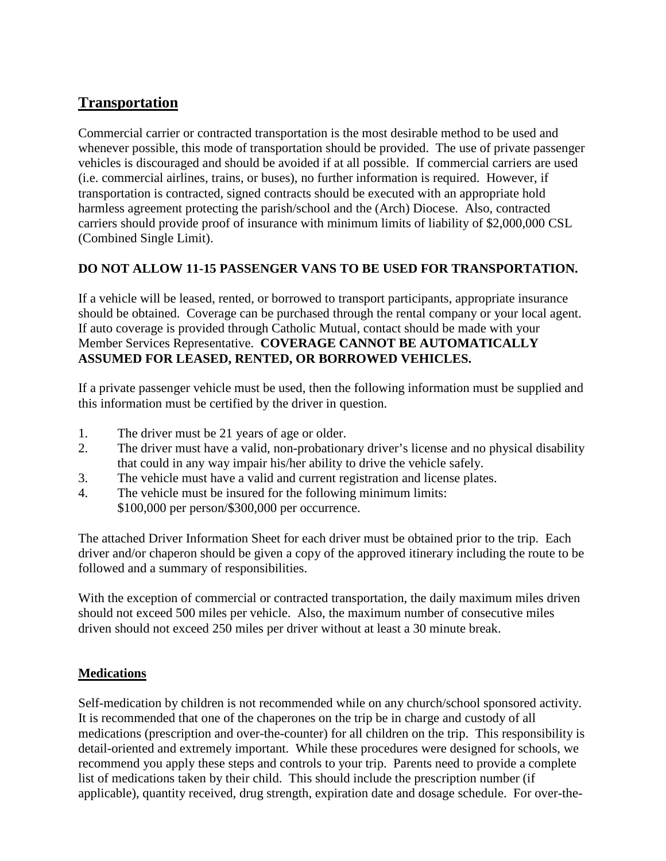## **Transportation**

Commercial carrier or contracted transportation is the most desirable method to be used and whenever possible, this mode of transportation should be provided. The use of private passenger vehicles is discouraged and should be avoided if at all possible. If commercial carriers are used (i.e. commercial airlines, trains, or buses), no further information is required. However, if transportation is contracted, signed contracts should be executed with an appropriate hold harmless agreement protecting the parish/school and the (Arch) Diocese. Also, contracted carriers should provide proof of insurance with minimum limits of liability of \$2,000,000 CSL (Combined Single Limit).

#### **DO NOT ALLOW 11-15 PASSENGER VANS TO BE USED FOR TRANSPORTATION.**

If a vehicle will be leased, rented, or borrowed to transport participants, appropriate insurance should be obtained. Coverage can be purchased through the rental company or your local agent. If auto coverage is provided through Catholic Mutual, contact should be made with your Member Services Representative. **COVERAGE CANNOT BE AUTOMATICALLY ASSUMED FOR LEASED, RENTED, OR BORROWED VEHICLES.**

If a private passenger vehicle must be used, then the following information must be supplied and this information must be certified by the driver in question.

- 1. The driver must be 21 years of age or older.
- 2. The driver must have a valid, non-probationary driver's license and no physical disability that could in any way impair his/her ability to drive the vehicle safely.
- 3. The vehicle must have a valid and current registration and license plates.
- 4. The vehicle must be insured for the following minimum limits:
	- \$100,000 per person/\$300,000 per occurrence.

The attached Driver Information Sheet for each driver must be obtained prior to the trip. Each driver and/or chaperon should be given a copy of the approved itinerary including the route to be followed and a summary of responsibilities.

With the exception of commercial or contracted transportation, the daily maximum miles driven should not exceed 500 miles per vehicle. Also, the maximum number of consecutive miles driven should not exceed 250 miles per driver without at least a 30 minute break.

#### **Medications**

Self-medication by children is not recommended while on any church/school sponsored activity. It is recommended that one of the chaperones on the trip be in charge and custody of all medications (prescription and over-the-counter) for all children on the trip. This responsibility is detail-oriented and extremely important. While these procedures were designed for schools, we recommend you apply these steps and controls to your trip. Parents need to provide a complete list of medications taken by their child. This should include the prescription number (if applicable), quantity received, drug strength, expiration date and dosage schedule. For over-the-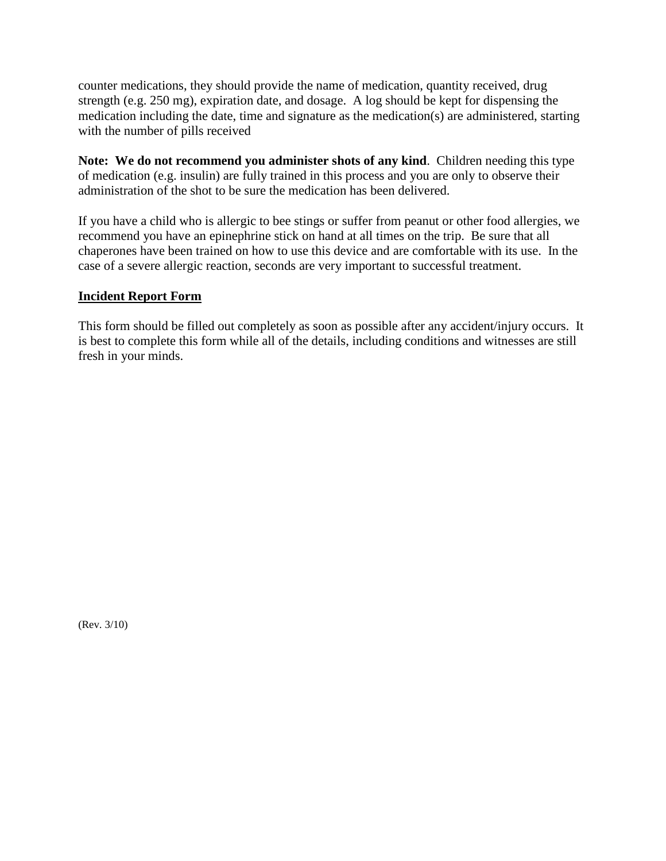counter medications, they should provide the name of medication, quantity received, drug strength (e.g. 250 mg), expiration date, and dosage. A log should be kept for dispensing the medication including the date, time and signature as the medication(s) are administered, starting with the number of pills received

**Note: We do not recommend you administer shots of any kind**. Children needing this type of medication (e.g. insulin) are fully trained in this process and you are only to observe their administration of the shot to be sure the medication has been delivered.

If you have a child who is allergic to bee stings or suffer from peanut or other food allergies, we recommend you have an epinephrine stick on hand at all times on the trip. Be sure that all chaperones have been trained on how to use this device and are comfortable with its use. In the case of a severe allergic reaction, seconds are very important to successful treatment.

#### **Incident Report Form**

This form should be filled out completely as soon as possible after any accident/injury occurs. It is best to complete this form while all of the details, including conditions and witnesses are still fresh in your minds.

(Rev. 3/10)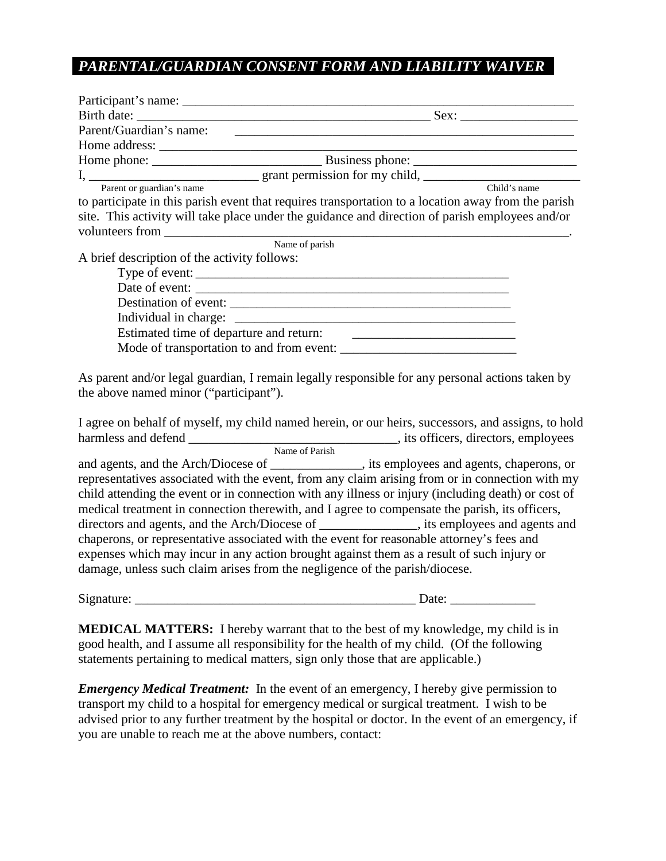## *PARENTAL/GUARDIAN CONSENT FORM AND LIABILITY WAIVER*

| Parent/Guardian's name:                                                                             |              |
|-----------------------------------------------------------------------------------------------------|--------------|
|                                                                                                     |              |
|                                                                                                     |              |
|                                                                                                     |              |
| Parent or guardian's name                                                                           | Child's name |
| to participate in this parish event that requires transportation to a location away from the parish |              |
| site. This activity will take place under the guidance and direction of parish employees and/or     |              |
|                                                                                                     |              |
| Name of parish                                                                                      |              |
| A brief description of the activity follows:                                                        |              |
|                                                                                                     |              |
|                                                                                                     |              |
|                                                                                                     |              |
|                                                                                                     |              |
|                                                                                                     |              |
|                                                                                                     |              |
|                                                                                                     |              |
| As parent and/or legal guardian, I remain legally responsible for any personal actions taken by     |              |

the above named minor ("participant").

I agree on behalf of myself, my child named herein, or our heirs, successors, and assigns, to hold harmless and defend \_\_\_\_\_\_\_\_\_\_\_\_\_\_\_\_\_\_\_\_\_\_\_\_\_\_\_\_\_\_\_\_, its officers, directors, employees Name of Parish and agents, and the Arch/Diocese of \_\_\_\_\_\_\_\_\_\_\_\_\_\_, its employees and agents, chaperons, or representatives associated with the event, from any claim arising from or in connection with my

child attending the event or in connection with any illness or injury (including death) or cost of medical treatment in connection therewith, and I agree to compensate the parish, its officers, directors and agents, and the Arch/Diocese of \_\_\_\_\_\_\_\_\_\_\_\_\_\_, its employees and agents and chaperons, or representative associated with the event for reasonable attorney's fees and expenses which may incur in any action brought against them as a result of such injury or damage, unless such claim arises from the negligence of the parish/diocese.

Signature:  $\Box$ 

**MEDICAL MATTERS:** I hereby warrant that to the best of my knowledge, my child is in good health, and I assume all responsibility for the health of my child. (Of the following statements pertaining to medical matters, sign only those that are applicable.)

*Emergency Medical Treatment:* In the event of an emergency, I hereby give permission to transport my child to a hospital for emergency medical or surgical treatment. I wish to be advised prior to any further treatment by the hospital or doctor. In the event of an emergency, if you are unable to reach me at the above numbers, contact: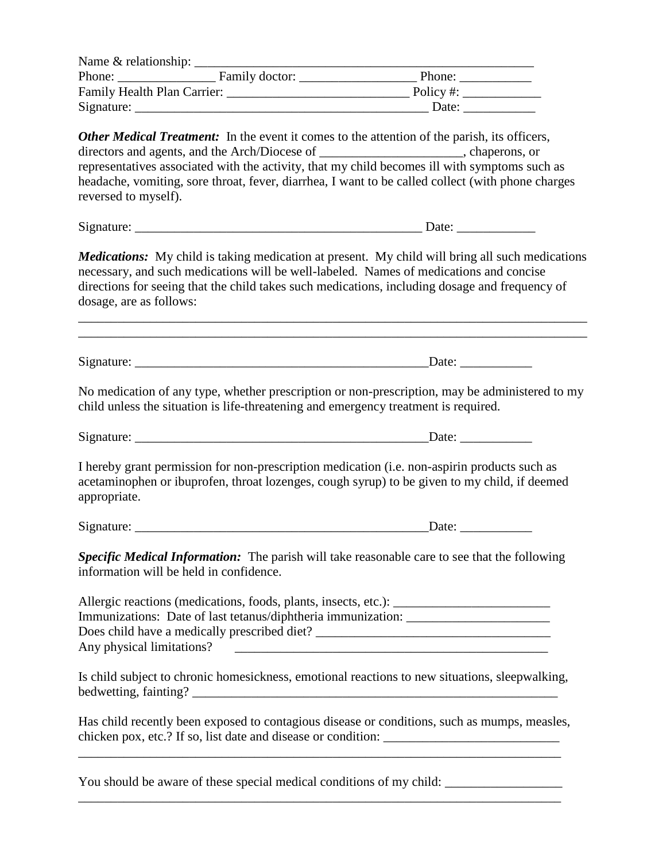|            |  | Phone:                                                                                              |  |
|------------|--|-----------------------------------------------------------------------------------------------------|--|
|            |  | Policy #: $\qquad \qquad$                                                                           |  |
| Signature: |  | Date:                                                                                               |  |
|            |  | <b>Other Medical Treatment:</b> In the event it comes to the attention of the parish, its officers, |  |

directors and agents, and the Arch/Diocese of chaperons, or representatives associated with the activity, that my child becomes ill with symptoms such as headache, vomiting, sore throat, fever, diarrhea, I want to be called collect (with phone charges reversed to myself).

Signature: \_\_\_\_\_\_\_\_\_\_\_\_\_\_\_\_\_\_\_\_\_\_\_\_\_\_\_\_\_\_\_\_\_\_\_\_\_\_\_\_\_\_\_\_ Date: \_\_\_\_\_\_\_\_\_\_\_\_

*Medications:* My child is taking medication at present. My child will bring all such medications necessary, and such medications will be well-labeled. Names of medications and concise directions for seeing that the child takes such medications, including dosage and frequency of dosage, are as follows:

\_\_\_\_\_\_\_\_\_\_\_\_\_\_\_\_\_\_\_\_\_\_\_\_\_\_\_\_\_\_\_\_\_\_\_\_\_\_\_\_\_\_\_\_\_\_\_\_\_\_\_\_\_\_\_\_\_\_\_\_\_\_\_\_\_\_\_\_\_\_\_\_\_\_\_\_\_\_ \_\_\_\_\_\_\_\_\_\_\_\_\_\_\_\_\_\_\_\_\_\_\_\_\_\_\_\_\_\_\_\_\_\_\_\_\_\_\_\_\_\_\_\_\_\_\_\_\_\_\_\_\_\_\_\_\_\_\_\_\_\_\_\_\_\_\_\_\_\_\_\_\_\_\_\_\_\_

Signature:  $\Box$ 

No medication of any type, whether prescription or non-prescription, may be administered to my child unless the situation is life-threatening and emergency treatment is required.

Signature: \_\_\_\_\_\_\_\_\_\_\_\_\_\_\_\_\_\_\_\_\_\_\_\_\_\_\_\_\_\_\_\_\_\_\_\_\_\_\_\_\_\_\_\_\_Date: \_\_\_\_\_\_\_\_\_\_\_

I hereby grant permission for non-prescription medication (i.e. non-aspirin products such as acetaminophen or ibuprofen, throat lozenges, cough syrup) to be given to my child, if deemed appropriate.

Signature:  $\Box$ 

*Specific Medical Information:* The parish will take reasonable care to see that the following information will be held in confidence.

Allergic reactions (medications, foods, plants, insects, etc.): Immunizations: Date of last tetanus/diphtheria immunization: \_\_\_\_\_\_\_\_\_\_\_\_\_\_\_\_\_\_\_\_\_\_ Does child have a medically prescribed diet? \_\_\_\_\_\_\_\_\_\_\_\_\_\_\_\_\_\_\_\_\_\_\_\_\_\_\_\_\_\_\_\_\_\_\_\_ Any physical limitations?

Is child subject to chronic homesickness, emotional reactions to new situations, sleepwalking, bedwetting, fainting? \_\_\_\_\_\_\_\_\_\_\_\_\_\_\_\_\_\_\_\_\_\_\_\_\_\_\_\_\_\_\_\_\_\_\_\_\_\_\_\_\_\_\_\_\_\_\_\_\_\_\_\_\_\_\_\_

Has child recently been exposed to contagious disease or conditions, such as mumps, measles, chicken pox, etc.? If so, list date and disease or condition:

\_\_\_\_\_\_\_\_\_\_\_\_\_\_\_\_\_\_\_\_\_\_\_\_\_\_\_\_\_\_\_\_\_\_\_\_\_\_\_\_\_\_\_\_\_\_\_\_\_\_\_\_\_\_\_\_\_\_\_\_\_\_\_\_\_\_\_\_\_\_\_\_\_\_

\_\_\_\_\_\_\_\_\_\_\_\_\_\_\_\_\_\_\_\_\_\_\_\_\_\_\_\_\_\_\_\_\_\_\_\_\_\_\_\_\_\_\_\_\_\_\_\_\_\_\_\_\_\_\_\_\_\_\_\_\_\_\_\_\_\_\_\_\_\_\_\_\_\_

You should be aware of these special medical conditions of my child: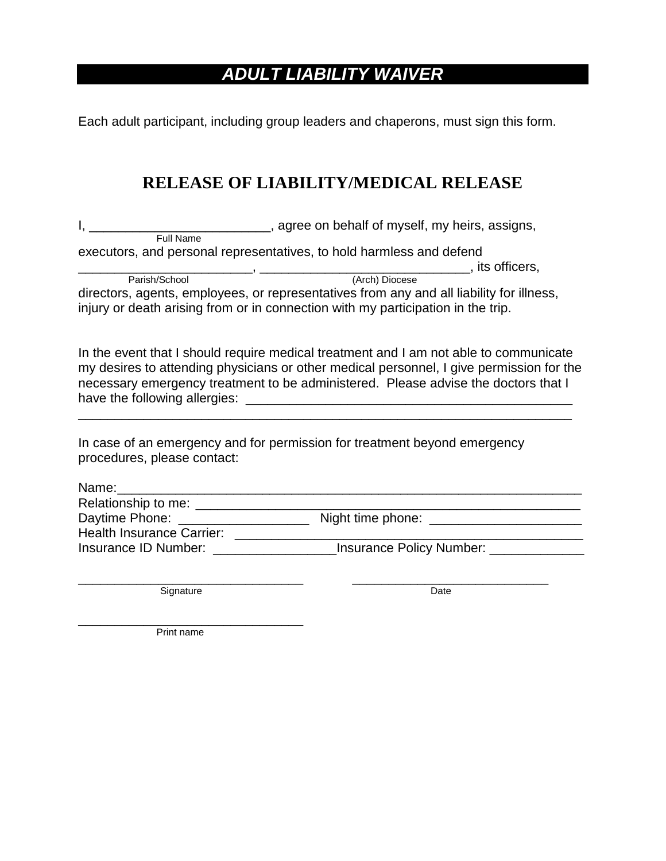## *ADULT LIABILITY WAIVER*

Each adult participant, including group leaders and chaperons, must sign this form.

## **RELEASE OF LIABILITY/MEDICAL RELEASE**

I, \_\_\_\_\_\_\_\_\_\_\_\_\_\_\_\_\_\_\_\_\_\_\_\_\_\_\_, agree on behalf of myself, my heirs, assigns, **Full Name** 

executors, and personal representatives, to hold harmless and defend

Parish/School (Arch) Diocese (Arch) Diocese

directors, agents, employees, or representatives from any and all liability for illness, injury or death arising from or in connection with my participation in the trip.

In the event that I should require medical treatment and I am not able to communicate my desires to attending physicians or other medical personnel, I give permission for the necessary emergency treatment to be administered. Please advise the doctors that I have the following allergies: \_\_\_\_\_\_\_\_\_\_\_\_\_\_\_\_\_\_\_\_\_\_\_\_\_\_\_\_\_\_\_\_\_\_\_\_\_\_\_\_\_\_\_\_\_

\_\_\_\_\_\_\_\_\_\_\_\_\_\_\_\_\_\_\_\_\_\_\_\_\_\_\_\_\_\_\_\_\_\_\_\_\_\_\_\_\_\_\_\_\_\_\_\_\_\_\_\_\_\_\_\_\_\_\_\_\_\_\_\_\_\_\_\_

In case of an emergency and for permission for treatment beyond emergency procedures, please contact:

| Name:                            |                          |  |
|----------------------------------|--------------------------|--|
| Relationship to me:              |                          |  |
| Daytime Phone:                   | Night time phone:        |  |
| <b>Health Insurance Carrier:</b> |                          |  |
| Insurance ID Number:             | Insurance Policy Number: |  |

\_\_\_\_\_\_\_\_\_\_\_\_\_\_\_\_\_\_\_\_\_\_\_\_\_\_\_\_\_\_\_ \_\_\_\_\_\_\_\_\_\_\_\_\_\_\_\_\_\_\_\_\_\_\_\_\_\_\_ Signature Date

\_\_\_\_\_\_\_\_\_\_\_\_\_\_\_\_\_\_\_\_\_\_\_\_\_\_\_\_\_\_\_ Print name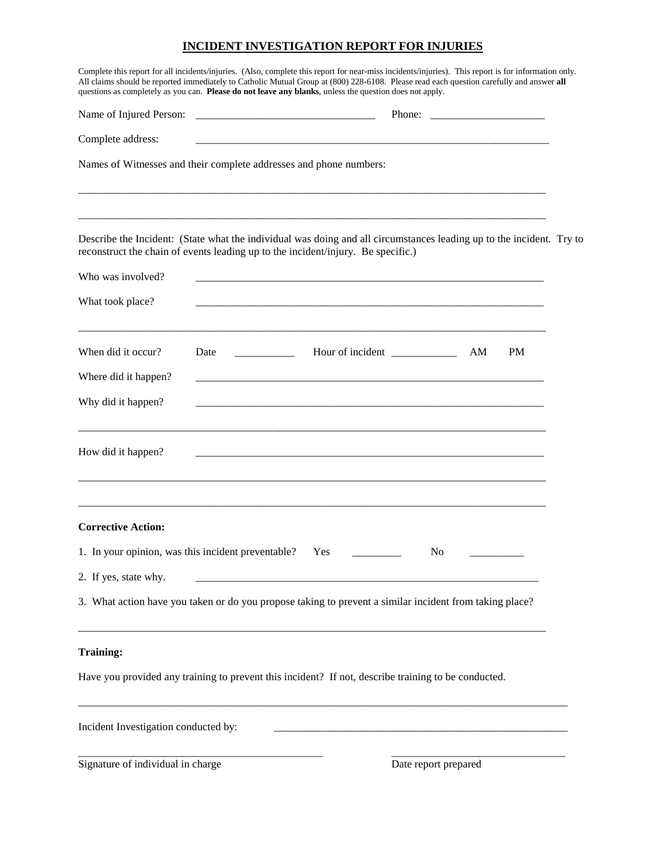#### **INCIDENT INVESTIGATION REPORT FOR INJURIES**

| Complete this report for all incidents/injuries. (Also, complete this report for near-miss incidents/injuries). This report is for information only.<br>All claims should be reported immediately to Catholic Mutual Group at (800) 228-6108. Please read each question carefully and answer all<br>questions as completely as you can. Please do not leave any blanks, unless the question does not apply. |      |                  |                      |           |  |
|-------------------------------------------------------------------------------------------------------------------------------------------------------------------------------------------------------------------------------------------------------------------------------------------------------------------------------------------------------------------------------------------------------------|------|------------------|----------------------|-----------|--|
|                                                                                                                                                                                                                                                                                                                                                                                                             |      |                  | Phone:               |           |  |
| Complete address:                                                                                                                                                                                                                                                                                                                                                                                           |      |                  |                      |           |  |
| Names of Witnesses and their complete addresses and phone numbers:                                                                                                                                                                                                                                                                                                                                          |      |                  |                      |           |  |
| Describe the Incident: (State what the individual was doing and all circumstances leading up to the incident. Try to<br>reconstruct the chain of events leading up to the incident/injury. Be specific.)                                                                                                                                                                                                    |      |                  |                      |           |  |
| Who was involved?                                                                                                                                                                                                                                                                                                                                                                                           |      |                  |                      |           |  |
| What took place?                                                                                                                                                                                                                                                                                                                                                                                            |      |                  |                      |           |  |
| When did it occur?                                                                                                                                                                                                                                                                                                                                                                                          | Date | Hour of incident | AM                   | <b>PM</b> |  |
| Where did it happen?                                                                                                                                                                                                                                                                                                                                                                                        |      |                  |                      |           |  |
| Why did it happen?                                                                                                                                                                                                                                                                                                                                                                                          |      |                  |                      |           |  |
| How did it happen?                                                                                                                                                                                                                                                                                                                                                                                          |      |                  |                      |           |  |
| <b>Corrective Action:</b>                                                                                                                                                                                                                                                                                                                                                                                   |      |                  |                      |           |  |
| 1. In your opinion, was this incident preventable?                                                                                                                                                                                                                                                                                                                                                          |      | Yes              | No.                  |           |  |
| 2. If yes, state why.                                                                                                                                                                                                                                                                                                                                                                                       |      |                  |                      |           |  |
| 3. What action have you taken or do you propose taking to prevent a similar incident from taking place?                                                                                                                                                                                                                                                                                                     |      |                  |                      |           |  |
| <b>Training:</b>                                                                                                                                                                                                                                                                                                                                                                                            |      |                  |                      |           |  |
| Have you provided any training to prevent this incident? If not, describe training to be conducted.                                                                                                                                                                                                                                                                                                         |      |                  |                      |           |  |
| Incident Investigation conducted by:                                                                                                                                                                                                                                                                                                                                                                        |      |                  |                      |           |  |
| Signature of individual in charge                                                                                                                                                                                                                                                                                                                                                                           |      |                  | Date report prepared |           |  |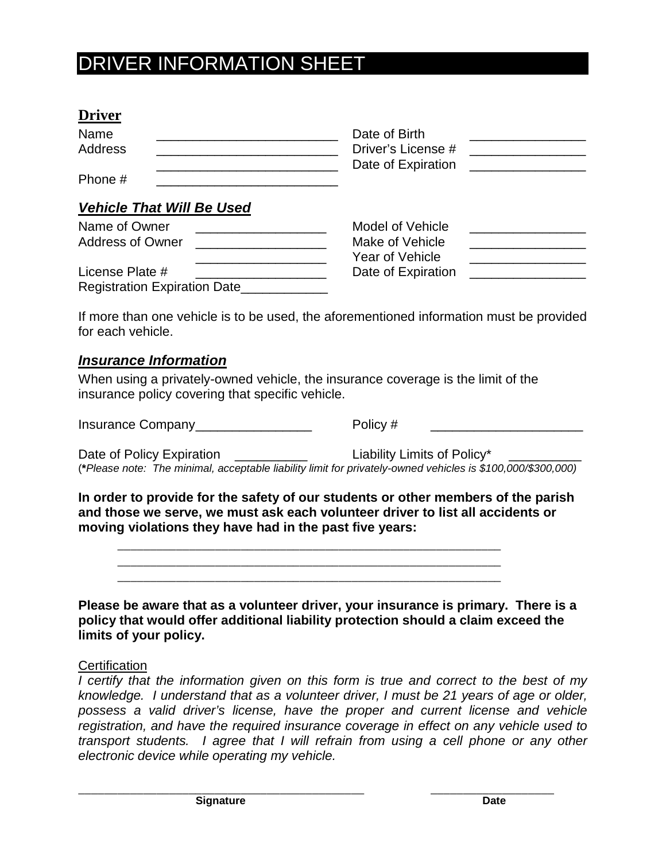## DRIVER INFORMATION SHEET

| Name    | Date of Birth      |  |
|---------|--------------------|--|
| Address | Driver's License # |  |
|         | Date of Expiration |  |
| Phone # |                    |  |

### *Vehicle That Will Be Used*

| Name of Owner                       | Model of Vehicle   |  |
|-------------------------------------|--------------------|--|
| <b>Address of Owner</b>             | Make of Vehicle    |  |
|                                     | Year of Vehicle    |  |
| License Plate #                     | Date of Expiration |  |
| <b>Registration Expiration Date</b> |                    |  |

If more than one vehicle is to be used, the aforementioned information must be provided for each vehicle.

#### *Insurance Information*

When using a privately-owned vehicle, the insurance coverage is the limit of the insurance policy covering that specific vehicle.

Insurance Company\_\_\_\_\_\_\_\_\_\_\_\_\_\_\_\_ Policy # \_\_\_\_\_\_\_\_\_\_\_\_\_\_\_\_\_\_\_\_\_

Date of Policy Expiration **Date of Policy** Expiration **Liability Limits of Policy**\* (**\****Please note: The minimal, acceptable liability limit for privately-owned vehicles is \$100,000/\$300,000)*

**In order to provide for the safety of our students or other members of the parish and those we serve, we must ask each volunteer driver to list all accidents or moving violations they have had in the past five years:**

**Please be aware that as a volunteer driver, your insurance is primary. There is a policy that would offer additional liability protection should a claim exceed the limits of your policy.**

#### **Certification**

*I certify that the information given on this form is true and correct to the best of my knowledge. I understand that as a volunteer driver, I must be 21 years of age or older, possess a valid driver's license, have the proper and current license and vehicle registration, and have the required insurance coverage in effect on any vehicle used to transport students. I agree that I will refrain from using a cell phone or any other electronic device while operating my vehicle.*